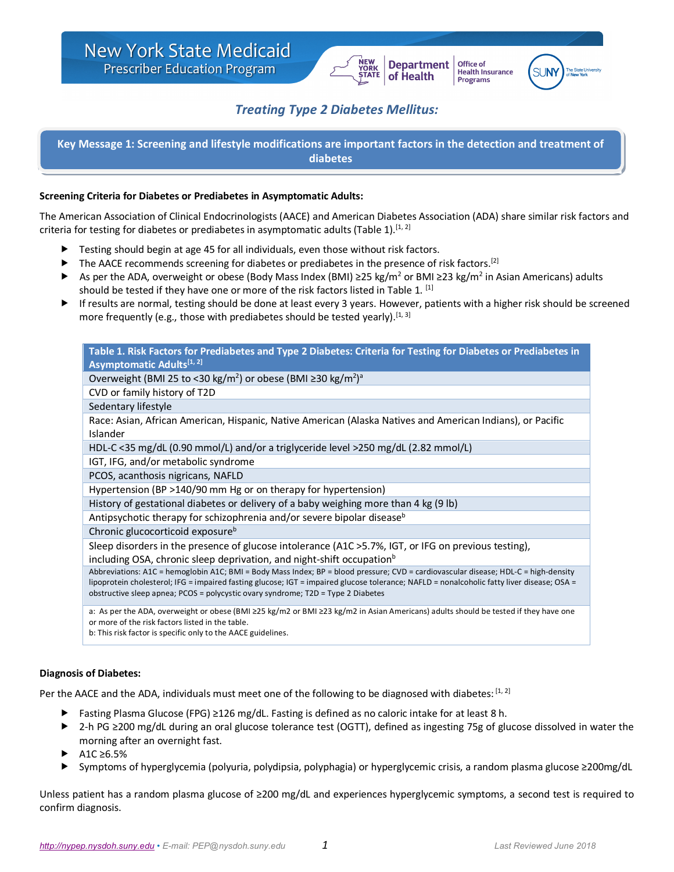

Office of

**Programs** 

**Health Insurance** 



# *Treating Type 2 Diabetes Mellitus:*

**Key Message 1: Screening and lifestyle modifications are important factors in the detection and treatment of diabetes**

### **Screening Criteria for Diabetes or Prediabetes in Asymptomatic Adults:**

The American Association of Clinical Endocrinologists (AACE) and American Diabetes Association (ADA) share similar risk factors and criteria for testing for diabetes or prediabetes in asymptomatic adults (Table 1).<sup>[1, 2]</sup>

- $\blacktriangleright$  Testing should begin at age 45 for all individuals, even those without risk factors.
- ▶ The AACE recommends screening for diabetes or prediabetes in the presence of risk factors.<sup>[2]</sup>
- As per the ADA, overweight or obese (Body Mass Index (BMI) ≥25 kg/m<sup>2</sup> or BMI ≥23 kg/m<sup>2</sup> in Asian Americans) adults should be tested if they have one or more of the risk factors listed in Table 1.<sup>[1]</sup>
- If results are normal, testing should be done at least every 3 years. However, patients with a higher risk should be screened more frequently (e.g., those with prediabetes should be tested yearly).  $[1, 3]$

| Table 1. Risk Factors for Prediabetes and Type 2 Diabetes: Criteria for Testing for Diabetes or Prediabetes in                                                                                                                                                                                                                                                        |
|-----------------------------------------------------------------------------------------------------------------------------------------------------------------------------------------------------------------------------------------------------------------------------------------------------------------------------------------------------------------------|
| Asymptomatic Adults <sup>[1, 2]</sup>                                                                                                                                                                                                                                                                                                                                 |
| Overweight (BMI 25 to <30 kg/m <sup>2</sup> ) or obese (BMI ≥30 kg/m <sup>2</sup> ) <sup>a</sup>                                                                                                                                                                                                                                                                      |
| CVD or family history of T2D                                                                                                                                                                                                                                                                                                                                          |
| Sedentary lifestyle                                                                                                                                                                                                                                                                                                                                                   |
| Race: Asian, African American, Hispanic, Native American (Alaska Natives and American Indians), or Pacific<br>Islander                                                                                                                                                                                                                                                |
| HDL-C <35 mg/dL (0.90 mmol/L) and/or a triglyceride level >250 mg/dL (2.82 mmol/L)                                                                                                                                                                                                                                                                                    |
| IGT, IFG, and/or metabolic syndrome                                                                                                                                                                                                                                                                                                                                   |
| PCOS, acanthosis nigricans, NAFLD                                                                                                                                                                                                                                                                                                                                     |
| Hypertension (BP >140/90 mm Hg or on therapy for hypertension)                                                                                                                                                                                                                                                                                                        |
| History of gestational diabetes or delivery of a baby weighing more than 4 kg (9 lb)                                                                                                                                                                                                                                                                                  |
| Antipsychotic therapy for schizophrenia and/or severe bipolar disease <sup>b</sup>                                                                                                                                                                                                                                                                                    |
| Chronic glucocorticoid exposure <sup>b</sup>                                                                                                                                                                                                                                                                                                                          |
| Sleep disorders in the presence of glucose intolerance (A1C >5.7%, IGT, or IFG on previous testing),                                                                                                                                                                                                                                                                  |
| including OSA, chronic sleep deprivation, and night-shift occupation <sup>b</sup>                                                                                                                                                                                                                                                                                     |
| Abbreviations: A1C = hemoglobin A1C; BMI = Body Mass Index; BP = blood pressure; CVD = cardiovascular disease; HDL-C = high-density<br>lipoprotein cholesterol; IFG = impaired fasting glucose; IGT = impaired glucose tolerance; NAFLD = nonalcoholic fatty liver disease; OSA =<br>obstructive sleep apnea; PCOS = polycystic ovary syndrome; T2D = Type 2 Diabetes |
| a: As per the ADA, overweight or obese (BMI ≥25 kg/m2 or BMI ≥23 kg/m2 in Asian Americans) adults should be tested if they have one<br>or more of the risk factors listed in the table.<br>b: This risk factor is specific only to the AACE guidelines.                                                                                                               |

#### **Diagnosis of Diabetes:**

Per the AACE and the ADA, individuals must meet one of the following to be diagnosed with diabetes: [1, 2]

- Fasting Plasma Glucose (FPG) ≥126 mg/dL. Fasting is defined as no caloric intake for at least 8 h.
- ► 2-h PG ≥200 mg/dL during an oral glucose tolerance test (OGTT), defined as ingesting 75g of glucose dissolved in water the morning after an overnight fast.
- $A1C \geq 6.5\%$
- Symptoms of hyperglycemia (polyuria, polydipsia, polyphagia) or hyperglycemic crisis, a random plasma glucose ≥200mg/dL

Unless patient has a random plasma glucose of ≥200 mg/dL and experiences hyperglycemic symptoms, a second test is required to confirm diagnosis.